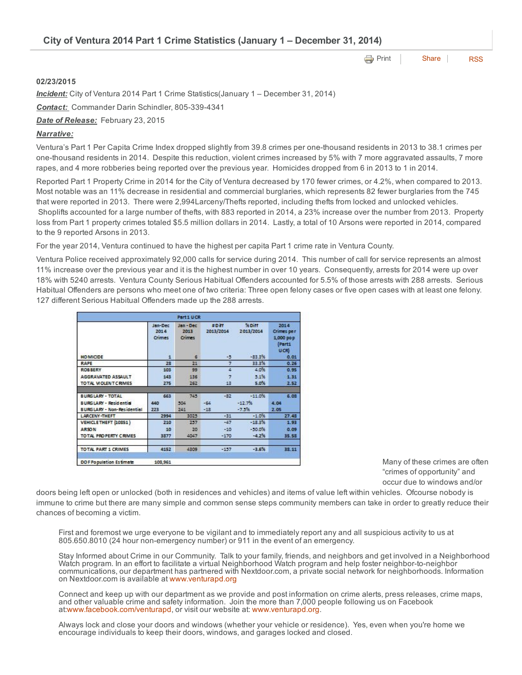| City of Ventura 2014 Part 1 Crime Statistics (January 1 – December 31, 2014) |  |  |  |  |
|------------------------------------------------------------------------------|--|--|--|--|
|------------------------------------------------------------------------------|--|--|--|--|

**e** [Print](http://www.cityofventura.net/print/16529) | [Share](javascript:void(0)) | [RSS](http://www.cityofventura.net/feed/press_release/rss.xml)

## 02/23/2015

*Incident:* City of Ventura 2014 Part 1 Crime Statistics(January 1 – December 31, 2014)

**Contact:** Commander Darin Schindler, 805-339-4341

*Date of Release:* February 23, 2015

## *Narrative:*

Ventura's Part 1 Per Capita Crime Index dropped slightly from 39.8 crimes per one-thousand residents in 2013 to 38.1 crimes per one-thousand residents in 2014. Despite this reduction, violent crimes increased by 5% with 7 more aggravated assaults, 7 more rapes, and 4 more robberies being reported over the previous year. Homicides dropped from 6 in 2013 to 1 in 2014.

Reported Part 1 Property Crime in 2014 for the City of Ventura decreased by 170 fewer crimes, or 4.2%, when compared to 2013. Most notable was an 11% decrease in residential and commercial burglaries, which represents 82 fewer burglaries from the 745 that were reported in 2013. There were 2,994Larceny/Thefts reported, including thefts from locked and unlocked vehicles. Shoplifts accounted for a large number of thefts, with 883 reported in 2014, a 23% increase over the number from 2013. Property loss from Part 1 property crimes totaled \$5.5 million dollars in 2014. Lastly, a total of 10 Arsons were reported in 2014, compared to the 9 reported Arsons in 2013.

For the year 2014, Ventura continued to have the highest per capita Part 1 crime rate in Ventura County.

Ventura Police received approximately 92,000 calls for service during 2014. This number of call for service represents an almost 11% increase over the previous year and it is the highest number in over 10 years. Consequently, arrests for 2014 were up over 18% with 5240 arrests. Ventura County Serious Habitual Offenders accounted for 5.5% of those arrests with 288 arrests. Serious Habitual Offenders are persons who meet one of two criteria: Three open felony cases or five open cases with at least one felony. 127 different Serious Habitual Offenders made up the 288 arrests.

|                                   |                           | Part 1 UCR                       |                    |                     |                                                   |
|-----------------------------------|---------------------------|----------------------------------|--------------------|---------------------|---------------------------------------------------|
|                                   | Jan-Dec<br>2014<br>Crimes | Jan-Dec<br>2013<br><b>Crimes</b> | #Diff<br>2013/2014 | % Diff<br>2013/2014 | 2014<br>Crimes per<br>1,000 pop<br>(Part1<br>UCR) |
| <b>HO MICIDE</b>                  | $\mathbf{1}$              | Б                                | -5                 | $-33.3%$            | 0.01                                              |
| <b>RAPE</b>                       | 28                        | 21                               | 7                  | 33.3%               | 0.26                                              |
| <b>ROBBERY</b>                    | 103                       | 99                               |                    | 4.0%                | 0.95                                              |
| AGGRAVATED ASSAULT                | 143                       | 136                              |                    | 5.1%                | 1.31                                              |
| TO TAL MOLENT CRIMES              | 275                       | 262                              | 13                 | 5.0%                | 2.52                                              |
|                                   |                           |                                  |                    |                     |                                                   |
| <b>BURGLARY - TOTAL</b>           | 663                       | 745                              | $-82$              | $-11.0%$            | 6.08                                              |
| <b>BURGLARY - Residential</b>     | 440                       | 504                              | $-64$              | $-12.7%$            | 4.04                                              |
| <b>BURGLARY - Non-Residential</b> | 223                       | 241                              | $-18$              | $-7.3%$             | 2.05                                              |
| <b>LARCENY-THEFT</b>              | 2994                      | 3025                             | $-32$              | $-1.0%$             | 27.48                                             |
| VEHICLE THEFT (10851)             | 210                       | 257                              | $-47$              | $-13.3%$            | 1.93                                              |
| <b>ARSON</b>                      | 10                        | 20                               | $-10$              | $-10.0%$            | 0.09                                              |
| TO TAL PROPERTY CRIMES            | 3877                      | 4047                             | $-170$             | $-4.7%$             | 35.58                                             |
| <b>TOTAL PART 1 CRIMES</b>        | 4152                      | 4309                             | $-157$             | $-3.6%$             | 38.11                                             |
| DO F Population Estimate          | 108,961                   |                                  |                    |                     |                                                   |

Many of these crimes are often "crimes of opportunity" and occur due to windows and/or

doors being left open or unlocked (both in residences and vehicles) and items of value left within vehicles. Ofcourse nobody is immune to crime but there are many simple and common sense steps community members can take in order to greatly reduce their chances of becoming a victim.

First and foremost we urge everyone to be vigilant and to immediately report any and all suspicious activity to us at 805.650.8010 (24 hour nonemergency number) or 911 in the event of an emergency.

Stay Informed about Crime in our Community. Talk to your family, friends, and neighbors and get involved in a Neighborhood Watch program. In an effort to facilitate a virtual Neighborhood Watch program and help foster neighbor-to-neighbor communications, our department has partnered with Nextdoor.com, a private social network for neighborhoods. Information on Nextdoor.com is available at [www.venturapd.org](http://www.venturapd.org/)

Connect and keep up with our department as we provide and post information on crime alerts, press releases, crime maps, and other valuable crime and safety information. Join the more than 7,000 people following us on Facebook at:[www.facebook.com/venturapd](http://www.facebook.com/venturapd), or visit our website at: [www.venturapd.org.](http://www.venturapd.org/)

Always lock and close your doors and windows (whether your vehicle or residence). Yes, even when you're home we encourage individuals to keep their doors, windows, and garages locked and closed.